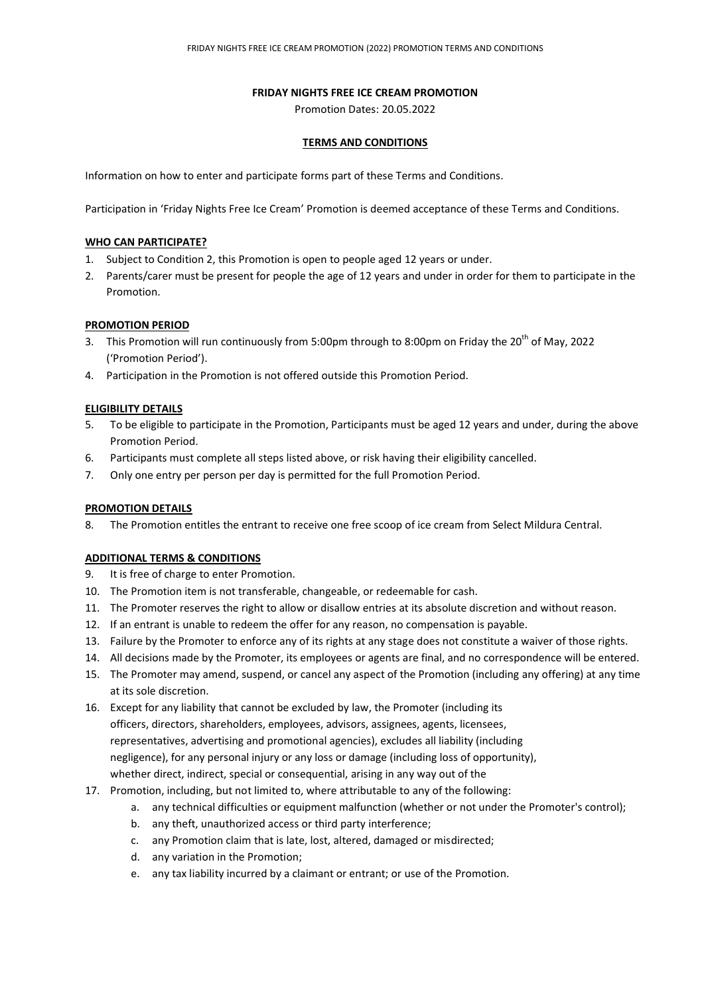### **FRIDAY NIGHTS FREE ICE CREAM PROMOTION**

Promotion Dates: 20.05.2022

## **TERMS AND CONDITIONS**

Information on how to enter and participate forms part of these Terms and Conditions.

Participation in 'Friday Nights Free Ice Cream' Promotion is deemed acceptance of these Terms and Conditions.

### **WHO CAN PARTICIPATE?**

- 1. Subject to Condition 2, this Promotion is open to people aged 12 years or under.
- 2. Parents/carer must be present for people the age of 12 years and under in order for them to participate in the Promotion.

### **PROMOTION PERIOD**

- 3. This Promotion will run continuously from 5:00pm through to 8:00pm on Friday the 20<sup>th</sup> of May, 2022 ('Promotion Period').
- 4. Participation in the Promotion is not offered outside this Promotion Period.

# **ELIGIBILITY DETAILS**

- 5. To be eligible to participate in the Promotion, Participants must be aged 12 years and under, during the above Promotion Period.
- 6. Participants must complete all steps listed above, or risk having their eligibility cancelled.
- 7. Only one entry per person per day is permitted for the full Promotion Period.

#### **PROMOTION DETAILS**

8. The Promotion entitles the entrant to receive one free scoop of ice cream from Select Mildura Central.

# **ADDITIONAL TERMS & CONDITIONS**

- 9. It is free of charge to enter Promotion.
- 10. The Promotion item is not transferable, changeable, or redeemable for cash.
- 11. The Promoter reserves the right to allow or disallow entries at its absolute discretion and without reason.
- 12. If an entrant is unable to redeem the offer for any reason, no compensation is payable.
- 13. Failure by the Promoter to enforce any of its rights at any stage does not constitute a waiver of those rights.
- 14. All decisions made by the Promoter, its employees or agents are final, and no correspondence will be entered.
- 15. The Promoter may amend, suspend, or cancel any aspect of the Promotion (including any offering) at any time at its sole discretion.
- 16. Except for any liability that cannot be excluded by law, the Promoter (including its officers, directors, shareholders, employees, advisors, assignees, agents, licensees, representatives, advertising and promotional agencies), excludes all liability (including negligence), for any personal injury or any loss or damage (including loss of opportunity), whether direct, indirect, special or consequential, arising in any way out of the
- 17. Promotion, including, but not limited to, where attributable to any of the following:
	- a. any technical difficulties or equipment malfunction (whether or not under the Promoter's control);
	- b. any theft, unauthorized access or third party interference;
	- c. any Promotion claim that is late, lost, altered, damaged or misdirected;
	- d. any variation in the Promotion;
	- e. any tax liability incurred by a claimant or entrant; or use of the Promotion.